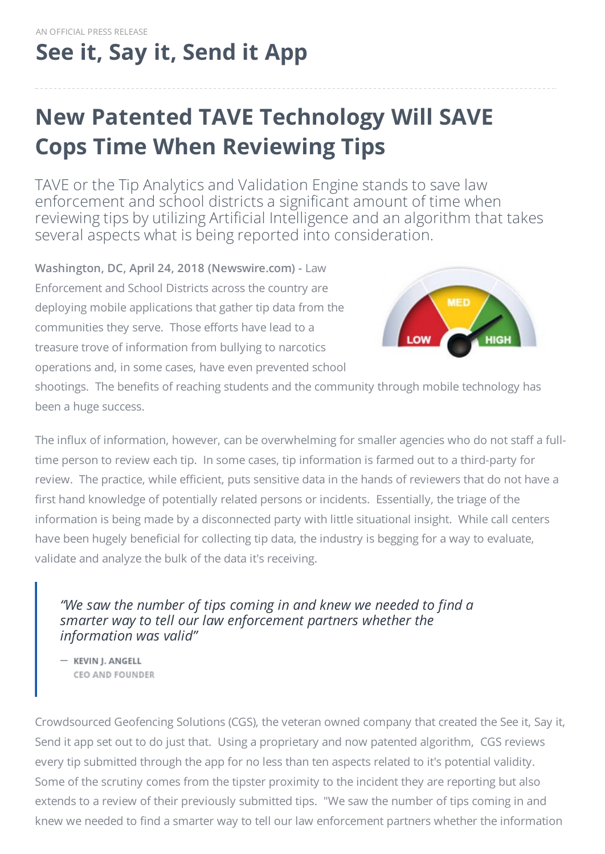# **See it, Say it, [Send](http://www.seeandsend.info) it App**

## **New Patented TAVE Technology Will SAVE Cops Time When Reviewing Tips**

TAVE or the Tip Analytics and Validation Engine stands to save law enforcement and school districts a significant amount of time when reviewing tips by utilizing Artificial Intelligence and an algorithm that takes several aspects what is being reported into consideration.

**Washington, DC, April 24, 2018 (Newswire.com) -** Law Enforcement and School Districts across the country are deploying mobile applications that gather tip data from the communities they serve. Those efforts have lead to a treasure trove of information from bullying to narcotics operations and, in some cases, have even prevented school



shootings. The benefits of reaching students and the community through mobile technology has been a huge success.

The influx of information, however, can be overwhelming for smaller agencies who do not staff a fulltime person to review each tip. In some cases, tip information is farmed out to a third-party for review. The practice, while efficient, puts sensitive data in the hands of reviewers that do not have a first hand knowledge of potentially related persons or incidents. Essentially, the triage of the information is being made by a disconnected party with little situational insight. While call centers have been hugely beneficial for collecting tip data, the industry is begging for a way to evaluate, validate and analyze the bulk of the data it's receiving.

#### *"We saw the number of tips coming in and knew we needed to find a smarter way to tell our law enforcement partners whether the information was valid"*

- KEVIN J. ANGELL CEO AND FOUNDER

Crowdsourced Geofencing Solutions (CGS), the veteran owned company that created the See it, Say it, Send it app set out to do just that. Using a proprietary and now patented algorithm, CGS reviews every tip submitted through the app for no less than ten aspects related to it's potential validity. Some of the scrutiny comes from the tipster proximity to the incident they are reporting but also extends to a review of their previously submitted tips. "We saw the number of tips coming in and knew we needed to find a smarter way to tell our law enforcement partners whether the information